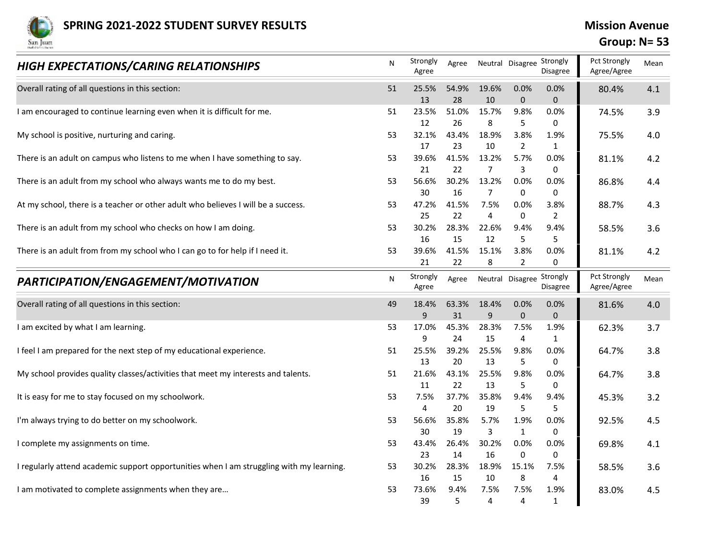

## Group: N= 53

| <b>SPRING 2021-2022 STUDENT SURVEY RESULTS</b><br>San Juan                               |    |                   |                   |                         |                             |                                       | <b>Mission Avenue</b><br>Group: $N = 53$ |         |
|------------------------------------------------------------------------------------------|----|-------------------|-------------------|-------------------------|-----------------------------|---------------------------------------|------------------------------------------|---------|
| <b>HIGH EXPECTATIONS/CARING RELATIONSHIPS</b>                                            | N  | Strongly<br>Agree | Agree             |                         |                             | Neutral Disagree Strongly<br>Disagree | Pct Strongly<br>Agree/Agree              | Mean    |
| Overall rating of all questions in this section:                                         | 51 | 25.5%<br>13       | 54.9%<br>28       | 19.6%<br>10             | 0.0%<br>$\mathbf{0}$        | 0.0%<br>$\mathbf{0}$                  | 80.4%                                    | 4.1     |
| I am encouraged to continue learning even when it is difficult for me.                   | 51 | 23.5%             | 51.0%             | 15.7%                   | 9.8%                        | 0.0%                                  | 74.5%                                    | 3.9     |
| My school is positive, nurturing and caring.                                             | 53 | 12<br>32.1%       | 26<br>43.4%       | 8<br>18.9%              | 5<br>3.8%                   | 0<br>1.9%                             | 75.5%                                    | 4.0     |
| There is an adult on campus who listens to me when I have something to say.              | 53 | 17<br>39.6%       | 23<br>41.5%       | 10<br>13.2%             | $\overline{2}$<br>5.7%      | 1<br>0.0%                             | 81.1%                                    | 4.2     |
| There is an adult from my school who always wants me to do my best.                      | 53 | 21<br>56.6%       | 22<br>30.2%       | 7<br>13.2%              | 3<br>$0.0\%$                | 0<br>0.0%                             | 86.8%                                    | 4.4     |
| At my school, there is a teacher or other adult who believes I will be a success.        | 53 | 30<br>47.2%       | 16<br>41.5%       | $\overline{7}$<br>7.5%  | 0<br>$0.0\%$                | $\Omega$<br>3.8%                      | 88.7%                                    | 4.3     |
| There is an adult from my school who checks on how I am doing.                           | 53 | 25<br>30.2%       | 22<br>28.3%       | $\overline{4}$<br>22.6% | 0<br>9.4%                   | 2<br>9.4%                             | 58.5%                                    | 3.6     |
| There is an adult from from my school who I can go to for help if I need it.             | 53 | 16<br>39.6%<br>21 | 15<br>41.5%<br>22 | 12<br>15.1%<br>8        | 5<br>3.8%<br>$\overline{2}$ | 0.0%<br>0                             | 81.1%                                    | 4.2     |
| PARTICIPATION/ENGAGEMENT/MOTIVATION                                                      | N  | Strongly<br>Agree | Agree             |                         | Neutral Disagree            | Strongly<br>Disagree                  | Pct Strongly<br>Agree/Agree              | Mean    |
| Overall rating of all questions in this section:                                         | 49 | 18.4%<br>9        | 63.3%<br>31       | 18.4%<br>9              | 0.0%<br>$\Omega$            | 0.0%<br>$\Omega$                      | 81.6%                                    | $4.0\,$ |
| I am excited by what I am learning.                                                      | 53 | 17.0%             | 45.3%             | 28.3%                   | 7.5%                        | 1.9%                                  | 62.3%                                    | 3.7     |
| I feel I am prepared for the next step of my educational experience.                     | 51 | 9<br>25.5%        | 24<br>39.2%       | 15<br>25.5%             | 4<br>9.8%                   | 1<br>0.0%                             | 64.7%                                    | 3.8     |
| My school provides quality classes/activities that meet my interests and talents.        | 51 | 13<br>21.6%       | 20<br>43.1%       | 13<br>25.5%             | 5<br>9.8%                   | $\Omega$<br>0.0%                      | 64.7%                                    | 3.8     |
| It is easy for me to stay focused on my schoolwork.                                      | 53 | 11<br>7.5%        | 22<br>37.7%       | 13<br>35.8%             | 5<br>9.4%                   | 0<br>9.4%                             | 45.3%                                    | 3.2     |
| I'm always trying to do better on my schoolwork.                                         | 53 | 4<br>56.6%        | 20<br>35.8%       | 19<br>5.7%              | 5<br>1.9%                   | -5<br>0.0%                            | 92.5%                                    | 4.5     |
| I complete my assignments on time.                                                       | 53 | 30<br>43.4%       | 19<br>26.4%       | 3<br>30.2%              | 1<br>0.0%                   | 0<br>0.0%                             | 69.8%                                    | 4.1     |
| I regularly attend academic support opportunities when I am struggling with my learning. | 53 | 23<br>30.2%       | 14<br>28.3%       | 16<br>18.9%             | 0<br>15.1%                  | $\Omega$<br>7.5%                      | 58.5%                                    | 3.6     |
| I am motivated to complete assignments when they are                                     | 53 | 16<br>73.6%       | 15<br>9.4%        | 10<br>7.5%              | 8<br>7.5%                   | $\overline{4}$<br>1.9%                | 83.0%                                    | 4.5     |
|                                                                                          |    | 39                | 5                 | 4                       | $\boldsymbol{\Delta}$       | $\mathbf 1$                           |                                          |         |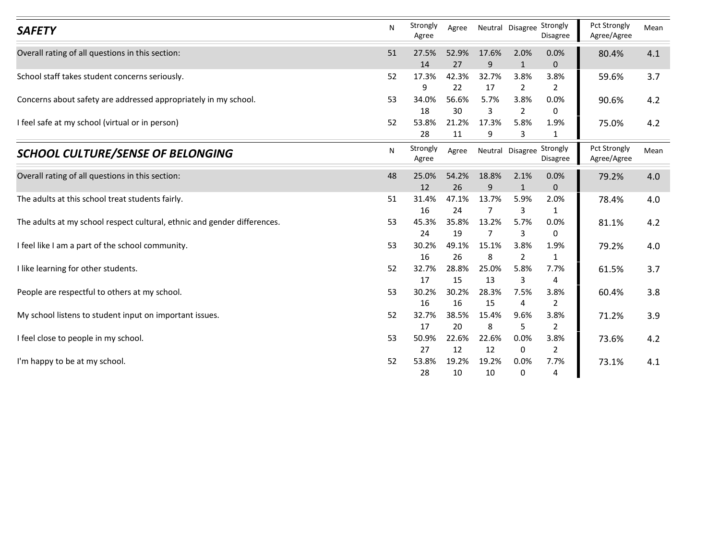| <b>SAFETY</b>                                                            | N  | Strongly<br>Agree | Agree       | Neutral Disagree Strongly |                        | Disagree               | Pct Strongly<br>Agree/Agree | Mean |
|--------------------------------------------------------------------------|----|-------------------|-------------|---------------------------|------------------------|------------------------|-----------------------------|------|
| Overall rating of all questions in this section:                         | 51 | 27.5%<br>14       | 52.9%<br>27 | 17.6%<br>9                | 2.0%<br>1              | 0.0%<br>$\mathbf{0}$   | 80.4%                       | 4.1  |
| School staff takes student concerns seriously.                           | 52 | 17.3%             | 42.3%       | 32.7%                     | 3.8%                   | 3.8%                   | 59.6%                       | 3.7  |
|                                                                          |    | 9                 | 22          | 17                        | $\overline{2}$         | $\overline{2}$         |                             |      |
| Concerns about safety are addressed appropriately in my school.          | 53 | 34.0%<br>18       | 56.6%<br>30 | 5.7%<br>3                 | 3.8%<br>$\overline{2}$ | 0.0%<br>0              | 90.6%                       | 4.2  |
| I feel safe at my school (virtual or in person)                          | 52 | 53.8%             | 21.2%       | 17.3%                     | 5.8%                   | 1.9%                   | 75.0%                       | 4.2  |
|                                                                          |    | 28                | 11          | 9                         | 3                      | 1                      |                             |      |
| <b>SCHOOL CULTURE/SENSE OF BELONGING</b>                                 | N  | Strongly<br>Agree | Agree       | Neutral Disagree Strongly |                        | Disagree               | Pct Strongly<br>Agree/Agree | Mean |
| Overall rating of all questions in this section:                         | 48 | 25.0%<br>12       | 54.2%<br>26 | 18.8%<br>9                | 2.1%<br>$\mathbf 1$    | 0.0%<br>$\mathbf{0}$   | 79.2%                       | 4.0  |
| The adults at this school treat students fairly.                         | 51 | 31.4%             | 47.1%       | 13.7%                     | 5.9%                   | 2.0%                   | 78.4%                       | 4.0  |
|                                                                          |    | 16                | 24          | 7                         | 3                      | 1                      |                             |      |
| The adults at my school respect cultural, ethnic and gender differences. | 53 | 45.3%<br>24       | 35.8%<br>19 | 13.2%<br>7                | 5.7%<br>$\overline{3}$ | 0.0%<br>0              | 81.1%                       | 4.2  |
| I feel like I am a part of the school community.                         | 53 | 30.2%             | 49.1%       | 15.1%                     | 3.8%                   | 1.9%                   | 79.2%                       | 4.0  |
|                                                                          |    | 16                | 26          | 8                         | $\overline{2}$         | $\mathbf{1}$           |                             |      |
| I like learning for other students.                                      | 52 | 32.7%             | 28.8%       | 25.0%                     | 5.8%                   | 7.7%                   | 61.5%                       | 3.7  |
| People are respectful to others at my school.                            | 53 | 17<br>30.2%       | 15<br>30.2% | 13<br>28.3%               | 3<br>7.5%              | 4<br>3.8%              | 60.4%                       | 3.8  |
|                                                                          |    | 16                | 16          | 15                        | 4                      | $\overline{2}$         |                             |      |
| My school listens to student input on important issues.                  | 52 | 32.7%             | 38.5%       | 15.4%                     | 9.6%                   | 3.8%                   | 71.2%                       | 3.9  |
|                                                                          |    | 17                | 20          | 8                         | 5                      | $\overline{2}$         |                             |      |
| I feel close to people in my school.                                     | 53 | 50.9%<br>27       | 22.6%<br>12 | 22.6%<br>12               | 0.0%<br>$\mathbf 0$    | 3.8%<br>$\overline{2}$ | 73.6%                       | 4.2  |
|                                                                          |    |                   |             |                           |                        |                        |                             |      |
| I'm happy to be at my school.                                            | 52 | 53.8%             | 19.2%       | 19.2%                     | 0.0%                   | 7.7%                   | 73.1%                       | 4.1  |